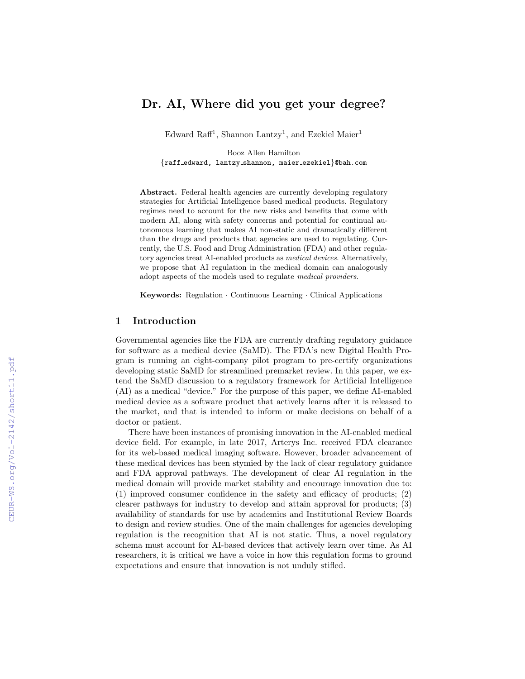# Dr. AI, Where did you get your degree?

Edward Raff<sup>1</sup>, Shannon Lantzy<sup>1</sup>, and Ezekiel Maier<sup>1</sup>

Booz Allen Hamilton {raff edward, lantzy shannon, maier ezekiel}@bah.com

Abstract. Federal health agencies are currently developing regulatory strategies for Artificial Intelligence based medical products. Regulatory regimes need to account for the new risks and benefits that come with modern AI, along with safety concerns and potential for continual autonomous learning that makes AI non-static and dramatically different than the drugs and products that agencies are used to regulating. Currently, the U.S. Food and Drug Administration (FDA) and other regulatory agencies treat AI-enabled products as medical devices. Alternatively, we propose that AI regulation in the medical domain can analogously adopt aspects of the models used to regulate medical providers.

Keywords: Regulation · Continuous Learning · Clinical Applications

#### 1 Introduction

Governmental agencies like the FDA are currently drafting regulatory guidance for software as a medical device (SaMD). The FDA's new Digital Health Program is running an eight-company pilot program to pre-certify organizations developing static SaMD for streamlined premarket review. In this paper, we extend the SaMD discussion to a regulatory framework for Artificial Intelligence (AI) as a medical "device." For the purpose of this paper, we define AI-enabled medical device as a software product that actively learns after it is released to the market, and that is intended to inform or make decisions on behalf of a doctor or patient.

There have been instances of promising innovation in the AI-enabled medical device field. For example, in late 2017, Arterys Inc. received FDA clearance for its web-based medical imaging software. However, broader advancement of these medical devices has been stymied by the lack of clear regulatory guidance and FDA approval pathways. The development of clear AI regulation in the medical domain will provide market stability and encourage innovation due to: (1) improved consumer confidence in the safety and efficacy of products; (2) clearer pathways for industry to develop and attain approval for products; (3) availability of standards for use by academics and Institutional Review Boards to design and review studies. One of the main challenges for agencies developing regulation is the recognition that AI is not static. Thus, a novel regulatory schema must account for AI-based devices that actively learn over time. As AI researchers, it is critical we have a voice in how this regulation forms to ground expectations and ensure that innovation is not unduly stifled.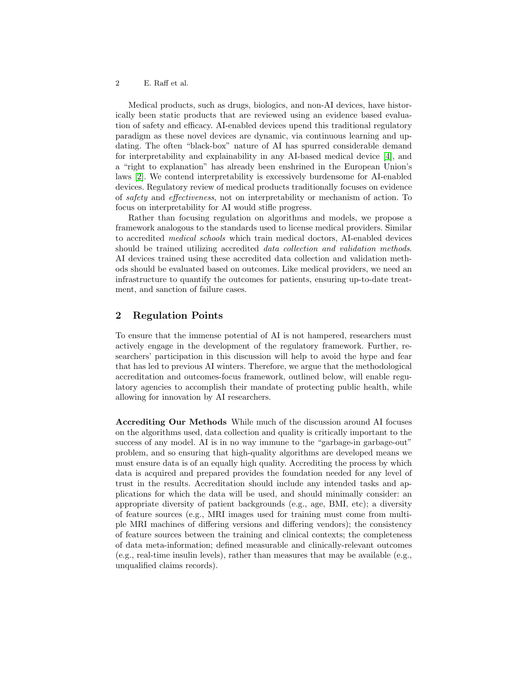#### 2 E. Raff et al.

Medical products, such as drugs, biologics, and non-AI devices, have historically been static products that are reviewed using an evidence based evaluation of safety and efficacy. AI-enabled devices upend this traditional regulatory paradigm as these novel devices are dynamic, via continuous learning and updating. The often "black-box" nature of AI has spurred considerable demand for interpretability and explainability in any AI-based medical device [\[4\]](#page-3-0), and a "right to explanation" has already been enshrined in the European Union's laws [\[2\]](#page-3-1). We contend interpretability is excessively burdensome for AI-enabled devices. Regulatory review of medical products traditionally focuses on evidence of safety and effectiveness, not on interpretability or mechanism of action. To focus on interpretability for AI would stifle progress.

Rather than focusing regulation on algorithms and models, we propose a framework analogous to the standards used to license medical providers. Similar to accredited medical schools which train medical doctors, AI-enabled devices should be trained utilizing accredited *data collection and validation methods*. AI devices trained using these accredited data collection and validation methods should be evaluated based on outcomes. Like medical providers, we need an infrastructure to quantify the outcomes for patients, ensuring up-to-date treatment, and sanction of failure cases.

## 2 Regulation Points

To ensure that the immense potential of AI is not hampered, researchers must actively engage in the development of the regulatory framework. Further, researchers' participation in this discussion will help to avoid the hype and fear that has led to previous AI winters. Therefore, we argue that the methodological accreditation and outcomes-focus framework, outlined below, will enable regulatory agencies to accomplish their mandate of protecting public health, while allowing for innovation by AI researchers.

Accrediting Our Methods While much of the discussion around AI focuses on the algorithms used, data collection and quality is critically important to the success of any model. AI is in no way immune to the "garbage-in garbage-out" problem, and so ensuring that high-quality algorithms are developed means we must ensure data is of an equally high quality. Accrediting the process by which data is acquired and prepared provides the foundation needed for any level of trust in the results. Accreditation should include any intended tasks and applications for which the data will be used, and should minimally consider: an appropriate diversity of patient backgrounds (e.g., age, BMI, etc); a diversity of feature sources (e.g., MRI images used for training must come from multiple MRI machines of differing versions and differing vendors); the consistency of feature sources between the training and clinical contexts; the completeness of data meta-information; defined measurable and clinically-relevant outcomes (e.g., real-time insulin levels), rather than measures that may be available (e.g., unqualified claims records).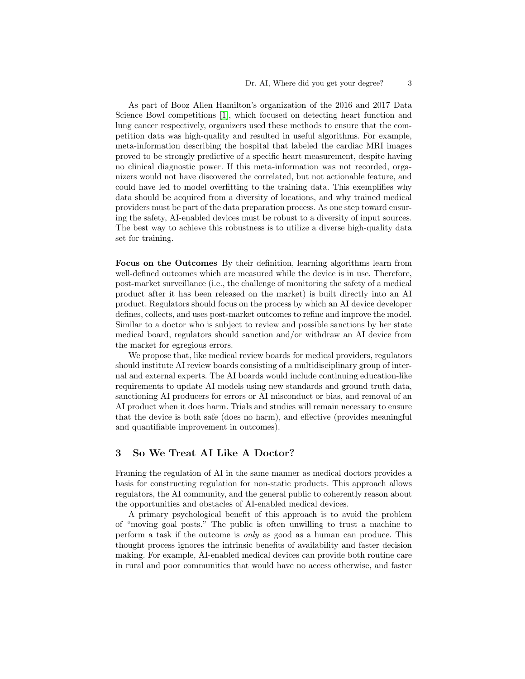As part of Booz Allen Hamilton's organization of the 2016 and 2017 Data Science Bowl competitions [\[1\]](#page-3-2), which focused on detecting heart function and lung cancer respectively, organizers used these methods to ensure that the competition data was high-quality and resulted in useful algorithms. For example, meta-information describing the hospital that labeled the cardiac MRI images proved to be strongly predictive of a specific heart measurement, despite having no clinical diagnostic power. If this meta-information was not recorded, organizers would not have discovered the correlated, but not actionable feature, and could have led to model overfitting to the training data. This exemplifies why data should be acquired from a diversity of locations, and why trained medical providers must be part of the data preparation process. As one step toward ensuring the safety, AI-enabled devices must be robust to a diversity of input sources. The best way to achieve this robustness is to utilize a diverse high-quality data set for training.

Focus on the Outcomes By their definition, learning algorithms learn from well-defined outcomes which are measured while the device is in use. Therefore, post-market surveillance (i.e., the challenge of monitoring the safety of a medical product after it has been released on the market) is built directly into an AI product. Regulators should focus on the process by which an AI device developer defines, collects, and uses post-market outcomes to refine and improve the model. Similar to a doctor who is subject to review and possible sanctions by her state medical board, regulators should sanction and/or withdraw an AI device from the market for egregious errors.

We propose that, like medical review boards for medical providers, regulators should institute AI review boards consisting of a multidisciplinary group of internal and external experts. The AI boards would include continuing education-like requirements to update AI models using new standards and ground truth data, sanctioning AI producers for errors or AI misconduct or bias, and removal of an AI product when it does harm. Trials and studies will remain necessary to ensure that the device is both safe (does no harm), and effective (provides meaningful and quantifiable improvement in outcomes).

# 3 So We Treat AI Like A Doctor?

Framing the regulation of AI in the same manner as medical doctors provides a basis for constructing regulation for non-static products. This approach allows regulators, the AI community, and the general public to coherently reason about the opportunities and obstacles of AI-enabled medical devices.

A primary psychological benefit of this approach is to avoid the problem of "moving goal posts." The public is often unwilling to trust a machine to perform a task if the outcome is only as good as a human can produce. This thought process ignores the intrinsic benefits of availability and faster decision making. For example, AI-enabled medical devices can provide both routine care in rural and poor communities that would have no access otherwise, and faster